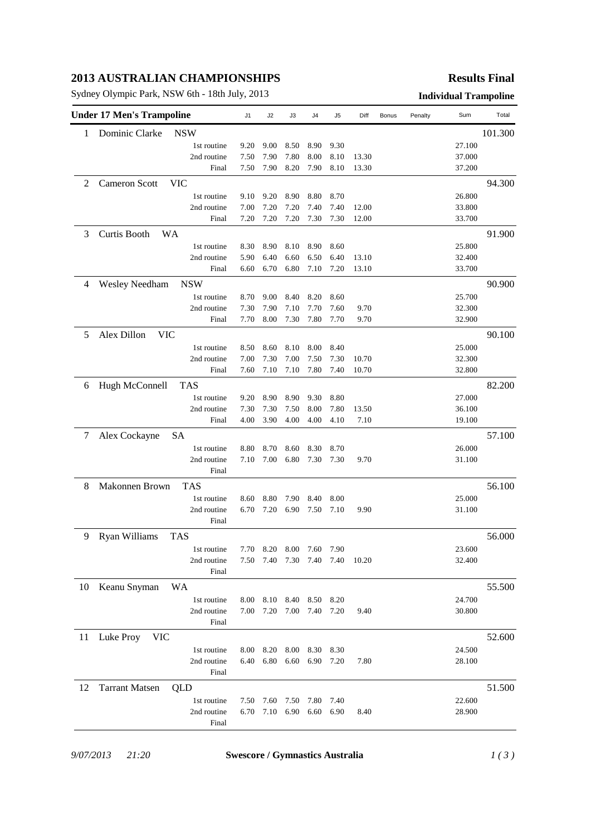# **2013 AUSTRALIAN CHAMPIONSHIPS**

Sydney Olympic Park, NSW 6th - 18th July, 2013 **Individual Trampoline**

### **Results Final**

|    | <b>Under 17 Men's Trampoline</b>    | J1   | J2   | J3   | J4   | J5        | Diff  | Bonus | Penalty | Sum    | Total   |
|----|-------------------------------------|------|------|------|------|-----------|-------|-------|---------|--------|---------|
| 1  | Dominic Clarke<br><b>NSW</b>        |      |      |      |      |           |       |       |         |        | 101.300 |
|    | 1st routine                         | 9.20 | 9.00 | 8.50 | 8.90 | 9.30      |       |       |         | 27.100 |         |
|    | 2nd routine                         | 7.50 | 7.90 | 7.80 | 8.00 | 8.10      | 13.30 |       |         | 37.000 |         |
|    | Final                               | 7.50 | 7.90 | 8.20 | 7.90 | 8.10      | 13.30 |       |         | 37.200 |         |
| 2  | <b>Cameron Scott</b><br>VIC         |      |      |      |      |           |       |       |         |        | 94.300  |
|    | 1st routine                         | 9.10 | 9.20 | 8.90 | 8.80 | 8.70      |       |       |         | 26.800 |         |
|    | 2nd routine                         | 7.00 | 7.20 | 7.20 | 7.40 | 7.40      | 12.00 |       |         | 33.800 |         |
|    | Final                               | 7.20 | 7.20 | 7.20 | 7.30 | 7.30      | 12.00 |       |         | 33.700 |         |
| 3  | <b>WA</b><br>Curtis Booth           |      |      |      |      |           |       |       |         |        | 91.900  |
|    | 1st routine                         | 8.30 | 8.90 | 8.10 | 8.90 | 8.60      |       |       |         | 25.800 |         |
|    | 2nd routine                         | 5.90 | 6.40 | 6.60 | 6.50 | 6.40      | 13.10 |       |         | 32.400 |         |
|    | Final                               | 6.60 | 6.70 | 6.80 | 7.10 | 7.20      | 13.10 |       |         | 33.700 |         |
| 4  | <b>Wesley Needham</b><br><b>NSW</b> |      |      |      |      |           |       |       |         |        | 90.900  |
|    | 1st routine                         | 8.70 | 9.00 | 8.40 | 8.20 | 8.60      |       |       |         | 25.700 |         |
|    | 2nd routine                         | 7.30 | 7.90 | 7.10 | 7.70 | 7.60      | 9.70  |       |         | 32.300 |         |
|    | Final                               | 7.70 | 8.00 | 7.30 | 7.80 | 7.70      | 9.70  |       |         | 32.900 |         |
| 5  | Alex Dillon<br><b>VIC</b>           |      |      |      |      |           |       |       |         |        | 90.100  |
|    | 1st routine                         | 8.50 | 8.60 | 8.10 | 8.00 | 8.40      |       |       |         | 25.000 |         |
|    | 2nd routine                         | 7.00 | 7.30 | 7.00 | 7.50 | 7.30      | 10.70 |       |         | 32.300 |         |
|    | Final                               | 7.60 | 7.10 | 7.10 | 7.80 | 7.40      | 10.70 |       |         | 32.800 |         |
|    |                                     |      |      |      |      |           |       |       |         |        |         |
| 6  | Hugh McConnell<br><b>TAS</b>        |      |      |      |      |           |       |       |         |        | 82.200  |
|    | 1st routine                         | 9.20 | 8.90 | 8.90 | 9.30 | 8.80      |       |       |         | 27.000 |         |
|    | 2nd routine                         | 7.30 | 7.30 | 7.50 | 8.00 | 7.80      | 13.50 |       |         | 36.100 |         |
|    | Final                               | 4.00 | 3.90 | 4.00 | 4.00 | 4.10      | 7.10  |       |         | 19.100 |         |
| 7  | Alex Cockayne<br>SA                 |      |      |      |      |           |       |       |         |        | 57.100  |
|    | 1st routine                         | 8.80 | 8.70 | 8.60 | 8.30 | 8.70      |       |       |         | 26.000 |         |
|    | 2nd routine                         | 7.10 | 7.00 | 6.80 | 7.30 | 7.30      | 9.70  |       |         | 31.100 |         |
|    | Final                               |      |      |      |      |           |       |       |         |        |         |
| 8  | Makonnen Brown<br><b>TAS</b>        |      |      |      |      |           |       |       |         |        | 56.100  |
|    | 1st routine                         | 8.60 | 8.80 | 7.90 | 8.40 | 8.00      |       |       |         | 25.000 |         |
|    | 2nd routine                         | 6.70 | 7.20 | 6.90 | 7.50 | 7.10      | 9.90  |       |         | 31.100 |         |
|    | Final                               |      |      |      |      |           |       |       |         |        |         |
| 9  | <b>Ryan Williams</b><br><b>TAS</b>  |      |      |      |      |           |       |       |         |        | 56.000  |
|    | 1st routine                         | 7.70 | 8.20 | 8.00 | 7.60 | 7.90      |       |       |         | 23.600 |         |
|    | 2nd routine                         | 7.50 | 7.40 | 7.30 | 7.40 | 7.40      | 10.20 |       |         | 32.400 |         |
|    | Final                               |      |      |      |      |           |       |       |         |        |         |
| 10 | Keanu Snyman<br>WA                  |      |      |      |      |           |       |       |         |        | 55.500  |
|    | 1st routine                         | 8.00 | 8.10 | 8.40 | 8.50 | 8.20      |       |       |         | 24.700 |         |
|    | 2nd routine                         | 7.00 | 7.20 | 7.00 | 7.40 | 7.20      | 9.40  |       |         | 30.800 |         |
|    | Final                               |      |      |      |      |           |       |       |         |        |         |
| 11 | Luke Proy<br><b>VIC</b>             |      |      |      |      |           |       |       |         |        | 52.600  |
|    | 1st routine                         | 8.00 | 8.20 | 8.00 | 8.30 | 8.30      |       |       |         | 24.500 |         |
|    | 2nd routine                         | 6.40 | 6.80 | 6.60 | 6.90 | 7.20      | 7.80  |       |         | 28.100 |         |
|    | Final                               |      |      |      |      |           |       |       |         |        |         |
| 12 | <b>Tarrant Matsen</b><br>QLD        |      |      |      |      |           |       |       |         |        | 51.500  |
|    | 1st routine                         | 7.50 | 7.60 | 7.50 | 7.80 | 7.40      |       |       |         | 22.600 |         |
|    | 2nd routine                         | 6.70 | 7.10 | 6.90 |      | 6.60 6.90 | 8.40  |       |         | 28.900 |         |
|    | Final                               |      |      |      |      |           |       |       |         |        |         |
|    |                                     |      |      |      |      |           |       |       |         |        |         |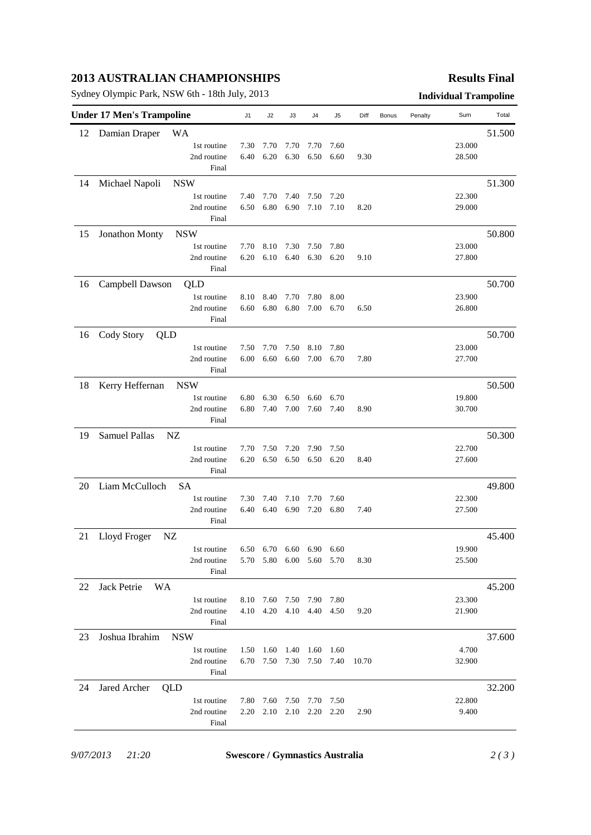# **2013 AUSTRALIAN CHAMPIONSHIPS**

Sydney Olympic Park, NSW 6th - 18th July, 2013 **Individual Trampoline**

## **Results Final**

| <b>Under 17 Men's Trampoline</b> |                               |      | J2                                                   | J3   | J4                  | J5   | Diff  | Bonus | Penalty | Sum              | Total  |
|----------------------------------|-------------------------------|------|------------------------------------------------------|------|---------------------|------|-------|-------|---------|------------------|--------|
| 12                               | Damian Draper<br><b>WA</b>    |      |                                                      |      |                     |      |       |       |         |                  | 51.500 |
|                                  | 1st routine                   | 7.30 | 7.70                                                 | 7.70 | 7.70                | 7.60 |       |       |         | 23.000           |        |
|                                  | 2nd routine                   | 6.40 | 6.20                                                 | 6.30 | 6.50                | 6.60 | 9.30  |       |         | 28.500           |        |
|                                  | Final                         |      |                                                      |      |                     |      |       |       |         |                  |        |
| 14                               | <b>NSW</b><br>Michael Napoli  |      |                                                      |      |                     |      |       |       |         |                  | 51.300 |
|                                  | 1st routine                   | 7.40 | 7.70                                                 | 7.40 | 7.50                | 7.20 |       |       |         | 22.300           |        |
|                                  | 2nd routine                   | 6.50 | 6.80                                                 | 6.90 | 7.10                | 7.10 | 8.20  |       |         | 29.000           |        |
|                                  | Final                         |      |                                                      |      |                     |      |       |       |         |                  |        |
| 15                               | Jonathon Monty<br><b>NSW</b>  |      |                                                      |      |                     |      |       |       |         |                  | 50.800 |
|                                  | 1st routine                   | 7.70 | 8.10                                                 | 7.30 | 7.50                | 7.80 |       |       |         | 23.000           |        |
|                                  | 2nd routine                   | 6.20 | 6.10                                                 | 6.40 | 6.30                | 6.20 | 9.10  |       |         | 27.800           |        |
|                                  | Final                         |      |                                                      |      |                     |      |       |       |         |                  |        |
| 16                               | Campbell Dawson<br>QLD        |      |                                                      |      |                     |      |       |       |         |                  | 50.700 |
|                                  | 1st routine                   | 8.10 | 8.40                                                 | 7.70 | 7.80                | 8.00 |       |       |         | 23.900           |        |
|                                  | 2nd routine                   | 6.60 | 6.80                                                 | 6.80 | 7.00                | 6.70 | 6.50  |       |         | 26.800           |        |
|                                  | Final                         |      |                                                      |      |                     |      |       |       |         |                  |        |
| 16                               | Cody Story<br>QLD             |      |                                                      |      |                     |      |       |       |         |                  | 50.700 |
|                                  | 1st routine                   | 7.50 | 7.70                                                 | 7.50 | 8.10                | 7.80 |       |       |         | 23.000           |        |
|                                  | 2nd routine                   | 6.00 | 6.60                                                 | 6.60 | 7.00                | 6.70 | 7.80  |       |         | 27.700           |        |
|                                  | Final                         |      |                                                      |      |                     |      |       |       |         |                  |        |
| 18                               | Kerry Heffernan<br><b>NSW</b> |      |                                                      |      |                     |      |       |       |         |                  | 50.500 |
|                                  | 1st routine                   | 6.80 | 6.30                                                 | 6.50 | 6.60                | 6.70 |       |       |         | 19.800           |        |
|                                  | 2nd routine                   | 6.80 | 7.40                                                 | 7.00 | 7.60                | 7.40 | 8.90  |       |         | 30.700           |        |
|                                  | Final                         |      |                                                      |      |                     |      |       |       |         |                  |        |
| 19                               | Samuel Pallas<br>NZ           |      |                                                      |      |                     |      |       |       |         |                  | 50.300 |
|                                  | 1st routine                   | 7.70 | 7.50                                                 | 7.20 | 7.90                | 7.50 |       |       |         | 22.700           |        |
|                                  | 2nd routine                   | 6.20 | 6.50                                                 | 6.50 | 6.50                | 6.20 | 8.40  |       |         | 27.600           |        |
|                                  | Final                         |      |                                                      |      |                     |      |       |       |         |                  |        |
| 20                               | Liam McCulloch<br><b>SA</b>   |      |                                                      |      |                     |      |       |       |         |                  | 49.800 |
|                                  | 1st routine                   | 7.30 | 7.40                                                 | 7.10 | 7.70                | 7.60 |       |       |         | 22.300           |        |
|                                  | 2nd routine                   | 6.40 | 6.40                                                 | 6.90 | 7.20                | 6.80 | 7.40  |       |         | 27.500           |        |
|                                  | Final                         |      |                                                      |      |                     |      |       |       |         |                  |        |
| 21                               | Lloyd Froger<br>NZ            |      |                                                      |      |                     |      |       |       |         |                  | 45.400 |
|                                  |                               |      |                                                      |      |                     |      |       |       |         |                  |        |
|                                  | 1st routine<br>2nd routine    |      | 6.50 6.70 6.60 6.90 6.60<br>5.70 5.80 6.00 5.60 5.70 |      |                     |      | 8.30  |       |         | 19.900<br>25.500 |        |
|                                  | Final                         |      |                                                      |      |                     |      |       |       |         |                  |        |
| 22                               | Jack Petrie<br><b>WA</b>      |      |                                                      |      |                     |      |       |       |         |                  | 45.200 |
|                                  | 1st routine                   |      | 8.10 7.60 7.50 7.90 7.80                             |      |                     |      |       |       |         | 23.300           |        |
|                                  | 2nd routine                   |      | 4.10 4.20 4.10 4.40 4.50                             |      |                     |      | 9.20  |       |         | 21.900           |        |
|                                  | Final                         |      |                                                      |      |                     |      |       |       |         |                  |        |
| 23                               | Joshua Ibrahim<br><b>NSW</b>  |      |                                                      |      |                     |      |       |       |         |                  | 37.600 |
|                                  | 1st routine                   |      | 1.50 1.60 1.40                                       |      | 1.60 1.60           |      |       |       |         | 4.700            |        |
|                                  | 2nd routine                   |      | 6.70 7.50 7.30 7.50 7.40                             |      |                     |      | 10.70 |       |         | 32.900           |        |
|                                  | Final                         |      |                                                      |      |                     |      |       |       |         |                  |        |
| 24                               | Jared Archer<br>QLD           |      |                                                      |      |                     |      |       |       |         |                  | 32.200 |
|                                  | 1st routine                   |      | 7.80 7.60 7.50 7.70 7.50                             |      |                     |      |       |       |         | 22.800           |        |
|                                  | 2nd routine                   | 2.20 |                                                      |      | 2.10 2.10 2.20 2.20 |      | 2.90  |       |         | 9.400            |        |
|                                  | Final                         |      |                                                      |      |                     |      |       |       |         |                  |        |
|                                  |                               |      |                                                      |      |                     |      |       |       |         |                  |        |